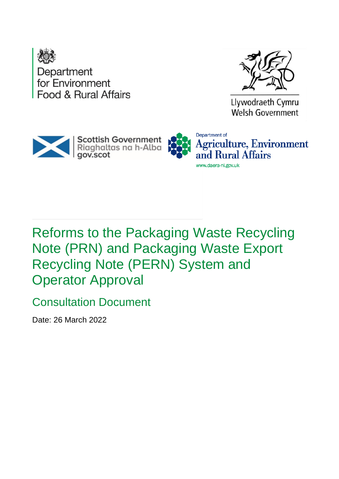



Llywodraeth Cymru Welsh Government





Reforms to the Packaging Waste Recycling Note (PRN) and Packaging Waste Export Recycling Note (PERN) System and Operator Approval

Consultation Document

Date: 26 March 2022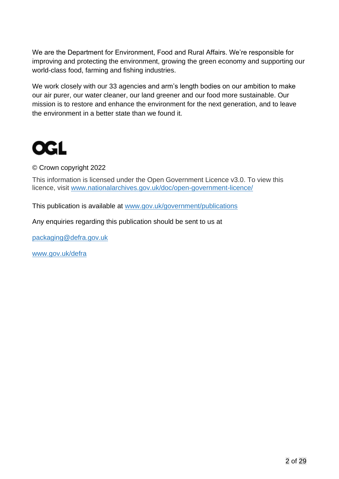We are the Department for Environment, Food and Rural Affairs. We're responsible for improving and protecting the environment, growing the green economy and supporting our world-class food, farming and fishing industries.

We work closely with our 33 agencies and arm's length bodies on our ambition to make our air purer, our water cleaner, our land greener and our food more sustainable. Our mission is to restore and enhance the environment for the next generation, and to leave the environment in a better state than we found it.



© Crown copyright 2022

This information is licensed under the Open Government Licence v3.0. To view this licence, visit [www.nationalarchives.gov.uk/doc/open-government-licence/](http://www.nationalarchives.gov.uk/doc/open-government-licence/)

This publication is available at [www.gov.uk/government/publications](http://www.gov.uk/government/publications) 

Any enquiries regarding this publication should be sent to us at

[packaging@defra.gov.uk](mailto:packaging@defra.gov.uk)

[www.gov.uk/defra](http://www.gov.uk/defra)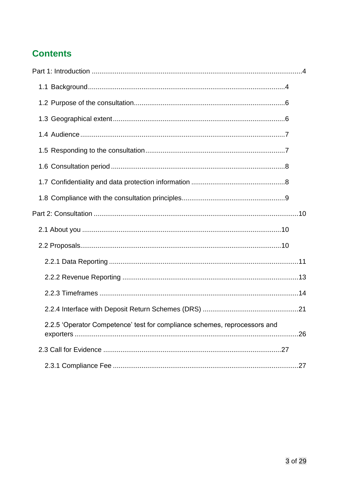# **Contents**

| 2.2.5 'Operator Competence' test for compliance schemes, reprocessors and |  |
|---------------------------------------------------------------------------|--|
|                                                                           |  |
|                                                                           |  |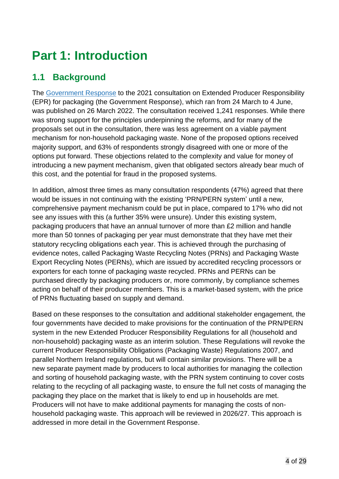# <span id="page-3-0"></span>**Part 1: Introduction**

# <span id="page-3-1"></span>**1.1 Background**

The [Government Response](https://www.gov.uk/government/consultations/packaging-and-packaging-waste-introducing-extended-producer-responsibility) to the 2021 consultation on Extended Producer Responsibility (EPR) for packaging (the Government Response), which ran from 24 March to 4 June, was published on 26 March 2022. The consultation received 1,241 responses. While there was strong support for the principles underpinning the reforms, and for many of the proposals set out in the consultation, there was less agreement on a viable payment mechanism for non-household packaging waste. None of the proposed options received majority support, and 63% of respondents strongly disagreed with one or more of the options put forward. These objections related to the complexity and value for money of introducing a new payment mechanism, given that obligated sectors already bear much of this cost, and the potential for fraud in the proposed systems.

In addition, almost three times as many consultation respondents (47%) agreed that there would be issues in not continuing with the existing 'PRN/PERN system' until a new, comprehensive payment mechanism could be put in place, compared to 17% who did not see any issues with this (a further 35% were unsure). Under this existing system, packaging producers that have an annual turnover of more than £2 million and handle more than 50 tonnes of packaging per year must demonstrate that they have met their statutory recycling obligations each year. This is achieved through the purchasing of evidence notes, called Packaging Waste Recycling Notes (PRNs) and Packaging Waste Export Recycling Notes (PERNs), which are issued by accredited recycling processors or exporters for each tonne of packaging waste recycled. PRNs and PERNs can be purchased directly by packaging producers or, more commonly, by compliance schemes acting on behalf of their producer members. This is a market-based system, with the price of PRNs fluctuating based on supply and demand.

Based on these responses to the consultation and additional stakeholder engagement, the four governments have decided to make provisions for the continuation of the PRN/PERN system in the new Extended Producer Responsibility Regulations for all (household and non-household) packaging waste as an interim solution. These Regulations will revoke the current Producer Responsibility Obligations (Packaging Waste) Regulations 2007, and parallel Northern Ireland regulations, but will contain similar provisions. There will be a new separate payment made by producers to local authorities for managing the collection and sorting of household packaging waste, with the PRN system continuing to cover costs relating to the recycling of all packaging waste, to ensure the full net costs of managing the packaging they place on the market that is likely to end up in households are met. Producers will not have to make additional payments for managing the costs of nonhousehold packaging waste. This approach will be reviewed in 2026/27. This approach is addressed in more detail in the Government Response.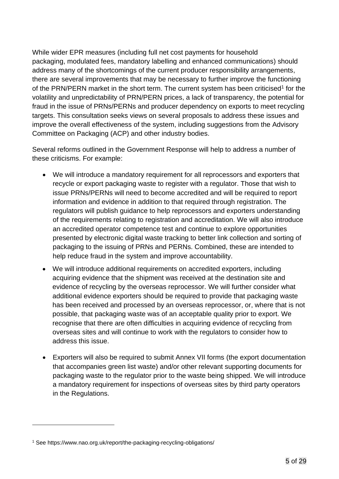While wider EPR measures (including full net cost payments for household packaging, modulated fees, mandatory labelling and enhanced communications) should address many of the shortcomings of the current producer responsibility arrangements, there are several improvements that may be necessary to further improve the functioning of the PRN/PERN market in the short term. The current system has been criticised<sup>1</sup> for the volatility and unpredictability of PRN/PERN prices, a lack of transparency, the potential for fraud in the issue of PRNs/PERNs and producer dependency on exports to meet recycling targets. This consultation seeks views on several proposals to address these issues and improve the overall effectiveness of the system, including suggestions from the Advisory Committee on Packaging (ACP) and other industry bodies.

Several reforms outlined in the Government Response will help to address a number of these criticisms. For example:

- We will introduce a mandatory requirement for all reprocessors and exporters that recycle or export packaging waste to register with a regulator. Those that wish to issue PRNs/PERNs will need to become accredited and will be required to report information and evidence in addition to that required through registration. The regulators will publish guidance to help reprocessors and exporters understanding of the requirements relating to registration and accreditation. We will also introduce an accredited operator competence test and continue to explore opportunities presented by electronic digital waste tracking to better link collection and sorting of packaging to the issuing of PRNs and PERNs. Combined, these are intended to help reduce fraud in the system and improve accountability.
- We will introduce additional requirements on accredited exporters, including acquiring evidence that the shipment was received at the destination site and evidence of recycling by the overseas reprocessor. We will further consider what additional evidence exporters should be required to provide that packaging waste has been received and processed by an overseas reprocessor, or, where that is not possible, that packaging waste was of an acceptable quality prior to export. We recognise that there are often difficulties in acquiring evidence of recycling from overseas sites and will continue to work with the regulators to consider how to address this issue.
- Exporters will also be required to submit Annex VII forms (the export documentation that accompanies green list waste) and/or other relevant supporting documents for packaging waste to the regulator prior to the waste being shipped. We will introduce a mandatory requirement for inspections of overseas sites by third party operators in the Regulations.

<sup>1</sup> See https://www.nao.org.uk/report/the-packaging-recycling-obligations/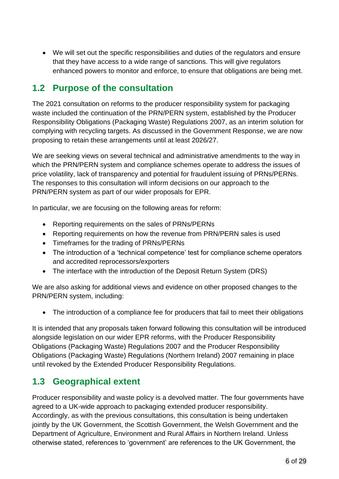• We will set out the specific responsibilities and duties of the regulators and ensure that they have access to a wide range of sanctions. This will give regulators enhanced powers to monitor and enforce, to ensure that obligations are being met.

### <span id="page-5-0"></span>**1.2 Purpose of the consultation**

The 2021 consultation on reforms to the producer responsibility system for packaging waste included the continuation of the PRN/PERN system, established by the Producer Responsibility Obligations (Packaging Waste) Regulations 2007, as an interim solution for complying with recycling targets. As discussed in the Government Response, we are now proposing to retain these arrangements until at least 2026/27.

We are seeking views on several technical and administrative amendments to the way in which the PRN/PERN system and compliance schemes operate to address the issues of price volatility, lack of transparency and potential for fraudulent issuing of PRNs/PERNs. The responses to this consultation will inform decisions on our approach to the PRN/PERN system as part of our wider proposals for EPR.

In particular, we are focusing on the following areas for reform:

- Reporting requirements on the sales of PRNs/PERNs
- Reporting requirements on how the revenue from PRN/PERN sales is used
- Timeframes for the trading of PRNs/PERNs
- The introduction of a 'technical competence' test for compliance scheme operators and accredited reprocessors/exporters
- The interface with the introduction of the Deposit Return System (DRS)

We are also asking for additional views and evidence on other proposed changes to the PRN/PERN system, including:

• The introduction of a compliance fee for producers that fail to meet their obligations

It is intended that any proposals taken forward following this consultation will be introduced alongside legislation on our wider EPR reforms, with the Producer Responsibility Obligations (Packaging Waste) Regulations 2007 and the Producer Responsibility Obligations (Packaging Waste) Regulations (Northern Ireland) 2007 remaining in place until revoked by the Extended Producer Responsibility Regulations.

# <span id="page-5-1"></span>**1.3 Geographical extent**

Producer responsibility and waste policy is a devolved matter. The four governments have agreed to a UK-wide approach to packaging extended producer responsibility. Accordingly, as with the previous consultations, this consultation is being undertaken jointly by the UK Government, the Scottish Government, the Welsh Government and the Department of Agriculture, Environment and Rural Affairs in Northern Ireland. Unless otherwise stated, references to 'government' are references to the UK Government, the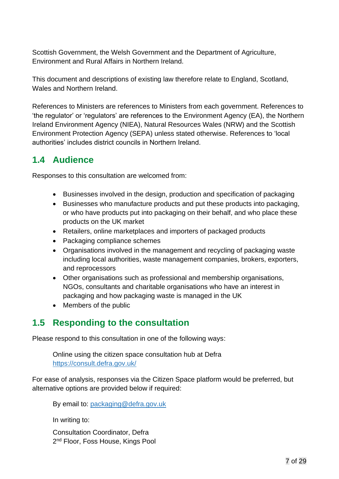Scottish Government, the Welsh Government and the Department of Agriculture, Environment and Rural Affairs in Northern Ireland.

This document and descriptions of existing law therefore relate to England, Scotland, Wales and Northern Ireland.

References to Ministers are references to Ministers from each government. References to 'the regulator' or 'regulators' are references to the Environment Agency (EA), the Northern Ireland Environment Agency (NIEA), Natural Resources Wales (NRW) and the Scottish Environment Protection Agency (SEPA) unless stated otherwise. References to 'local authorities' includes district councils in Northern Ireland.

# <span id="page-6-0"></span>**1.4 Audience**

Responses to this consultation are welcomed from:

- Businesses involved in the design, production and specification of packaging
- Businesses who manufacture products and put these products into packaging, or who have products put into packaging on their behalf, and who place these products on the UK market
- Retailers, online marketplaces and importers of packaged products
- Packaging compliance schemes
- Organisations involved in the management and recycling of packaging waste including local authorities, waste management companies, brokers, exporters, and reprocessors
- Other organisations such as professional and membership organisations, NGOs, consultants and charitable organisations who have an interest in packaging and how packaging waste is managed in the UK
- Members of the public

# <span id="page-6-1"></span>**1.5 Responding to the consultation**

Please respond to this consultation in one of the following ways:

Online using the citizen space consultation hub at Defra <https://consult.defra.gov.uk/>

For ease of analysis, responses via the Citizen Space platform would be preferred, but alternative options are provided below if required:

By email to: [packaging@defra.gov.uk](mailto:packaging@defra.gov.uk)

In writing to:

Consultation Coordinator, Defra 2<sup>nd</sup> Floor, Foss House, Kings Pool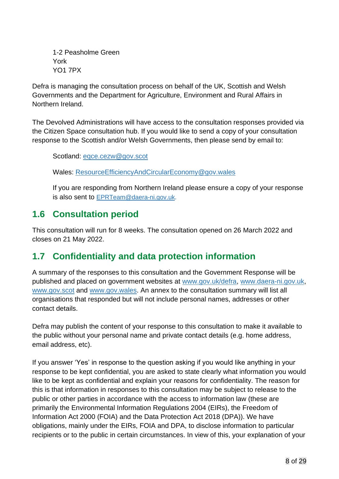1-2 Peasholme Green York YO1 7PX

Defra is managing the consultation process on behalf of the UK, Scottish and Welsh Governments and the Department for Agriculture, Environment and Rural Affairs in Northern Ireland.

The Devolved Administrations will have access to the consultation responses provided via the Citizen Space consultation hub. If you would like to send a copy of your consultation response to the Scottish and/or Welsh Governments, then please send by email to:

Scotland: [eqce.cezw@gov.scot](mailto:eqce.cezw@gov.scot)

Wales: ResourceEfficiencyAndCircularEconomy@gov.wales

If you are responding from Northern Ireland please ensure a copy of your response is also sent to [EPRTeam@daera-ni.gov.uk.](mailto:EPRTeam@daera-ni.gov.uk)

# <span id="page-7-0"></span>**1.6 Consultation period**

This consultation will run for 8 weeks. The consultation opened on 26 March 2022 and closes on 21 May 2022.

# <span id="page-7-1"></span>**1.7 Confidentiality and data protection information**

A summary of the responses to this consultation and the Government Response will be published and placed on government websites at [www.gov.uk/defra,](http://www.gov.uk/defra) [www.daera-ni.gov.uk,](http://www.daera-ni.gov.uk/) [www.gov.scot](http://www.gov.scot/) and [www.gov.wales.](http://www.gov.wales/) An annex to the consultation summary will list all organisations that responded but will not include personal names, addresses or other contact details.

Defra may publish the content of your response to this consultation to make it available to the public without your personal name and private contact details (e.g. home address, email address, etc).

If you answer 'Yes' in response to the question asking if you would like anything in your response to be kept confidential, you are asked to state clearly what information you would like to be kept as confidential and explain your reasons for confidentiality. The reason for this is that information in responses to this consultation may be subject to release to the public or other parties in accordance with the access to information law (these are primarily the Environmental Information Regulations 2004 (EIRs), the Freedom of Information Act 2000 (FOIA) and the Data Protection Act 2018 (DPA)). We have obligations, mainly under the EIRs, FOIA and DPA, to disclose information to particular recipients or to the public in certain circumstances. In view of this, your explanation of your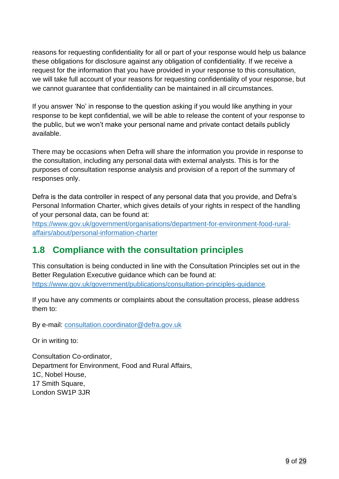reasons for requesting confidentiality for all or part of your response would help us balance these obligations for disclosure against any obligation of confidentiality. If we receive a request for the information that you have provided in your response to this consultation, we will take full account of your reasons for requesting confidentiality of your response, but we cannot guarantee that confidentiality can be maintained in all circumstances.

If you answer 'No' in response to the question asking if you would like anything in your response to be kept confidential, we will be able to release the content of your response to the public, but we won't make your personal name and private contact details publicly available.

There may be occasions when Defra will share the information you provide in response to the consultation, including any personal data with external analysts. This is for the purposes of consultation response analysis and provision of a report of the summary of responses only.

Defra is the data controller in respect of any personal data that you provide, and Defra's Personal Information Charter, which gives details of your rights in respect of the handling of your personal data, can be found at:

[https://www.gov.uk/government/organisations/department-for-environment-food-rural](https://www.gov.uk/government/organisations/department-for-environment-food-rural-affairs/about/personal-information-charter)[affairs/about/personal-information-charter](https://www.gov.uk/government/organisations/department-for-environment-food-rural-affairs/about/personal-information-charter)

# <span id="page-8-0"></span>**1.8 Compliance with the consultation principles**

This consultation is being conducted in line with the Consultation Principles set out in the Better Regulation Executive guidance which can be found at: <https://www.gov.uk/government/publications/consultation-principles-guidance>.

If you have any comments or complaints about the consultation process, please address them to:

By e-mail: [consultation.coordinator@defra.gov.uk](mailto:consultation.coordinator@defra.gov.uk)

Or in writing to:

Consultation Co-ordinator, Department for Environment, Food and Rural Affairs, 1C, Nobel House, 17 Smith Square, London SW1P 3JR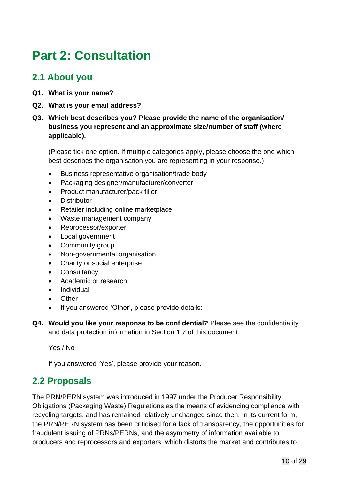# <span id="page-9-0"></span>**Part 2: Consultation**

### <span id="page-9-1"></span>**2.1 About you**

- **Q1. What is your name?**
- **Q2. What is your email address?**
- **Q3. Which best describes you? Please provide the name of the organisation/ business you represent and an approximate size/number of staff (where applicable).**

(Please tick one option. If multiple categories apply, please choose the one which best describes the organisation you are representing in your response.)

- Business representative organisation/trade body
- Packaging designer/manufacturer/converter
- Product manufacturer/pack filler
- **Distributor**
- Retailer including online marketplace
- Waste management company
- Reprocessor/exporter
- Local government
- Community group
- Non-governmental organisation
- Charity or social enterprise
- Consultancy
- Academic or research
- Individual
- Other
- If you answered 'Other', please provide details:
- **Q4. Would you like your response to be confidential?** Please see the confidentiality and data protection information in Section 1.7 of this document.

Yes / No

If you answered 'Yes', please provide your reason.

### <span id="page-9-2"></span>**2.2 Proposals**

The PRN/PERN system was introduced in 1997 under the Producer Responsibility Obligations (Packaging Waste) Regulations as the means of evidencing compliance with recycling targets, and has remained relatively unchanged since then. In its current form, the PRN/PERN system has been criticised for a lack of transparency, the opportunities for fraudulent issuing of PRNs/PERNs, and the asymmetry of information available to producers and reprocessors and exporters, which distorts the market and contributes to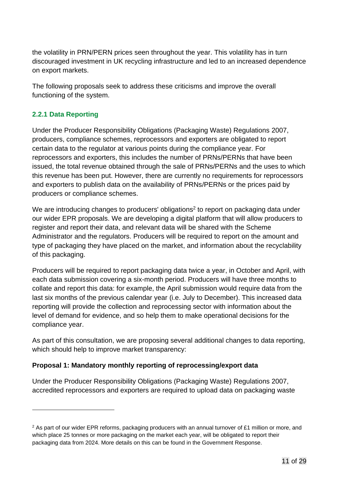the volatility in PRN/PERN prices seen throughout the year. This volatility has in turn discouraged investment in UK recycling infrastructure and led to an increased dependence on export markets.

The following proposals seek to address these criticisms and improve the overall functioning of the system.

#### <span id="page-10-0"></span>**2.2.1 Data Reporting**

Under the Producer Responsibility Obligations (Packaging Waste) Regulations 2007, producers, compliance schemes, reprocessors and exporters are obligated to report certain data to the regulator at various points during the compliance year. For reprocessors and exporters, this includes the number of PRNs/PERNs that have been issued, the total revenue obtained through the sale of PRNs/PERNs and the uses to which this revenue has been put. However, there are currently no requirements for reprocessors and exporters to publish data on the availability of PRNs/PERNs or the prices paid by producers or compliance schemes.

We are introducing changes to producers' obligations<sup>2</sup> to report on packaging data under our wider EPR proposals. We are developing a digital platform that will allow producers to register and report their data, and relevant data will be shared with the Scheme Administrator and the regulators. Producers will be required to report on the amount and type of packaging they have placed on the market, and information about the recyclability of this packaging.

Producers will be required to report packaging data twice a year, in October and April, with each data submission covering a six-month period. Producers will have three months to collate and report this data: for example, the April submission would require data from the last six months of the previous calendar year (i.e. July to December). This increased data reporting will provide the collection and reprocessing sector with information about the level of demand for evidence, and so help them to make operational decisions for the compliance year.

As part of this consultation, we are proposing several additional changes to data reporting, which should help to improve market transparency:

#### **Proposal 1: Mandatory monthly reporting of reprocessing/export data**

Under the Producer Responsibility Obligations (Packaging Waste) Regulations 2007, accredited reprocessors and exporters are required to upload data on packaging waste

<sup>&</sup>lt;sup>2</sup> As part of our wider EPR reforms, packaging producers with an annual turnover of £1 million or more, and which place 25 tonnes or more packaging on the market each year, will be obligated to report their packaging data from 2024. More details on this can be found in the Government Response.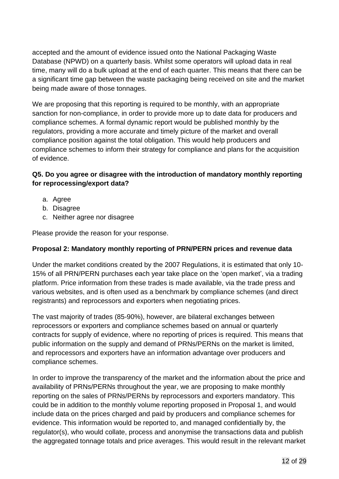accepted and the amount of evidence issued onto the National Packaging Waste Database (NPWD) on a quarterly basis. Whilst some operators will upload data in real time, many will do a bulk upload at the end of each quarter. This means that there can be a significant time gap between the waste packaging being received on site and the market being made aware of those tonnages.

We are proposing that this reporting is required to be monthly, with an appropriate sanction for non-compliance, in order to provide more up to date data for producers and compliance schemes. A formal dynamic report would be published monthly by the regulators, providing a more accurate and timely picture of the market and overall compliance position against the total obligation. This would help producers and compliance schemes to inform their strategy for compliance and plans for the acquisition of evidence.

#### **Q5. Do you agree or disagree with the introduction of mandatory monthly reporting for reprocessing/export data?**

- a. Agree
- b. Disagree
- c. Neither agree nor disagree

Please provide the reason for your response.

#### **Proposal 2: Mandatory monthly reporting of PRN/PERN prices and revenue data**

Under the market conditions created by the 2007 Regulations, it is estimated that only 10- 15% of all PRN/PERN purchases each year take place on the 'open market', via a trading platform. Price information from these trades is made available, via the trade press and various websites, and is often used as a benchmark by compliance schemes (and direct registrants) and reprocessors and exporters when negotiating prices.

The vast majority of trades (85-90%), however, are bilateral exchanges between reprocessors or exporters and compliance schemes based on annual or quarterly contracts for supply of evidence, where no reporting of prices is required. This means that public information on the supply and demand of PRNs/PERNs on the market is limited, and reprocessors and exporters have an information advantage over producers and compliance schemes.

In order to improve the transparency of the market and the information about the price and availability of PRNs/PERNs throughout the year, we are proposing to make monthly reporting on the sales of PRNs/PERNs by reprocessors and exporters mandatory. This could be in addition to the monthly volume reporting proposed in Proposal 1, and would include data on the prices charged and paid by producers and compliance schemes for evidence. This information would be reported to, and managed confidentially by, the regulator(s), who would collate, process and anonymise the transactions data and publish the aggregated tonnage totals and price averages. This would result in the relevant market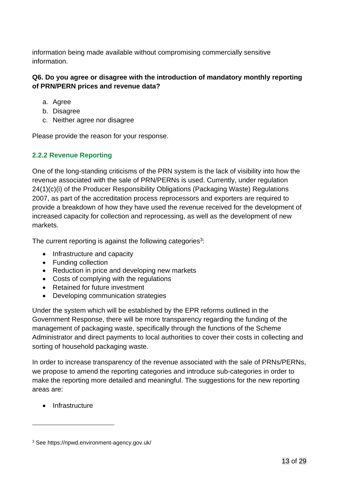information being made available without compromising commercially sensitive information.

#### **Q6. Do you agree or disagree with the introduction of mandatory monthly reporting of PRN/PERN prices and revenue data?**

- a. Agree
- b. Disagree
- c. Neither agree nor disagree

Please provide the reason for your response.

#### <span id="page-12-0"></span>**2.2.2 Revenue Reporting**

One of the long-standing criticisms of the PRN system is the lack of visibility into how the revenue associated with the sale of PRN/PERNs is used. Currently, under regulation 24(1)(c)(i) of the Producer Responsibility Obligations (Packaging Waste) Regulations 2007, as part of the accreditation process reprocessors and exporters are required to provide a breakdown of how they have used the revenue received for the development of increased capacity for collection and reprocessing, as well as the development of new markets.

The current reporting is against the following categories<sup>3</sup>:

- Infrastructure and capacity
- Funding collection
- Reduction in price and developing new markets
- Costs of complying with the regulations
- Retained for future investment
- Developing communication strategies

Under the system which will be established by the EPR reforms outlined in the Government Response, there will be more transparency regarding the funding of the management of packaging waste, specifically through the functions of the Scheme Administrator and direct payments to local authorities to cover their costs in collecting and sorting of household packaging waste.

In order to increase transparency of the revenue associated with the sale of PRNs/PERNs, we propose to amend the reporting categories and introduce sub-categories in order to make the reporting more detailed and meaningful. The suggestions for the new reporting areas are:

• Infrastructure

<sup>3</sup> See https://npwd.environment-agency.gov.uk/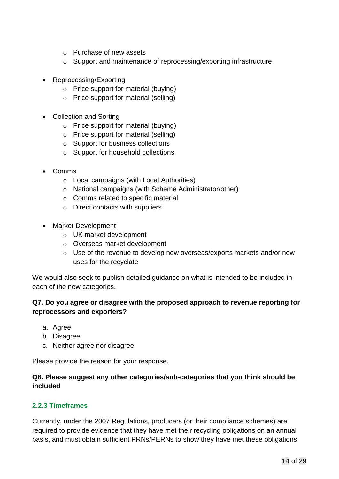- o Purchase of new assets
- o Support and maintenance of reprocessing/exporting infrastructure
- Reprocessing/Exporting
	- o Price support for material (buying)
	- o Price support for material (selling)
- Collection and Sorting
	- o Price support for material (buying)
	- o Price support for material (selling)
	- o Support for business collections
	- o Support for household collections
- Comms
	- o Local campaigns (with Local Authorities)
	- o National campaigns (with Scheme Administrator/other)
	- o Comms related to specific material
	- o Direct contacts with suppliers
- Market Development
	- o UK market development
	- o Overseas market development
	- o Use of the revenue to develop new overseas/exports markets and/or new uses for the recyclate

We would also seek to publish detailed guidance on what is intended to be included in each of the new categories.

#### **Q7. Do you agree or disagree with the proposed approach to revenue reporting for reprocessors and exporters?**

- a. Agree
- b. Disagree
- c. Neither agree nor disagree

Please provide the reason for your response.

#### **Q8. Please suggest any other categories/sub-categories that you think should be included**

#### <span id="page-13-0"></span>**2.2.3 Timeframes**

Currently, under the 2007 Regulations, producers (or their compliance schemes) are required to provide evidence that they have met their recycling obligations on an annual basis, and must obtain sufficient PRNs/PERNs to show they have met these obligations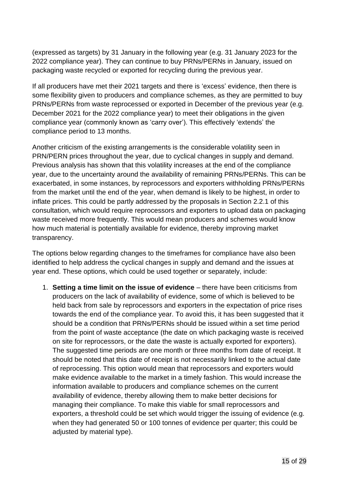(expressed as targets) by 31 January in the following year (e.g. 31 January 2023 for the 2022 compliance year). They can continue to buy PRNs/PERNs in January, issued on packaging waste recycled or exported for recycling during the previous year.

If all producers have met their 2021 targets and there is 'excess' evidence, then there is some flexibility given to producers and compliance schemes, as they are permitted to buy PRNs/PERNs from waste reprocessed or exported in December of the previous year (e.g. December 2021 for the 2022 compliance year) to meet their obligations in the given compliance year (commonly known as 'carry over'). This effectively 'extends' the compliance period to 13 months.

Another criticism of the existing arrangements is the considerable volatility seen in PRN/PERN prices throughout the year, due to cyclical changes in supply and demand. Previous analysis has shown that this volatility increases at the end of the compliance year, due to the uncertainty around the availability of remaining PRNs/PERNs. This can be exacerbated, in some instances, by reprocessors and exporters withholding PRNs/PERNs from the market until the end of the year, when demand is likely to be highest, in order to inflate prices. This could be partly addressed by the proposals in Section 2.2.1 of this consultation, which would require reprocessors and exporters to upload data on packaging waste received more frequently. This would mean producers and schemes would know how much material is potentially available for evidence, thereby improving market transparency.

The options below regarding changes to the timeframes for compliance have also been identified to help address the cyclical changes in supply and demand and the issues at year end. These options, which could be used together or separately, include:

1. **Setting a time limit on the issue of evidence** – there have been criticisms from producers on the lack of availability of evidence, some of which is believed to be held back from sale by reprocessors and exporters in the expectation of price rises towards the end of the compliance year. To avoid this, it has been suggested that it should be a condition that PRNs/PERNs should be issued within a set time period from the point of waste acceptance (the date on which packaging waste is received on site for reprocessors, or the date the waste is actually exported for exporters). The suggested time periods are one month or three months from date of receipt. It should be noted that this date of receipt is not necessarily linked to the actual date of reprocessing. This option would mean that reprocessors and exporters would make evidence available to the market in a timely fashion. This would increase the information available to producers and compliance schemes on the current availability of evidence, thereby allowing them to make better decisions for managing their compliance. To make this viable for small reprocessors and exporters, a threshold could be set which would trigger the issuing of evidence (e.g. when they had generated 50 or 100 tonnes of evidence per quarter; this could be adjusted by material type).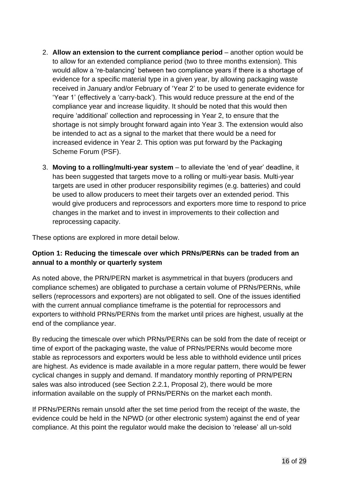- 2. **Allow an extension to the current compliance period** another option would be to allow for an extended compliance period (two to three months extension). This would allow a 're-balancing' between two compliance years if there is a shortage of evidence for a specific material type in a given year, by allowing packaging waste received in January and/or February of 'Year 2' to be used to generate evidence for 'Year 1' (effectively a 'carry-back'). This would reduce pressure at the end of the compliance year and increase liquidity. It should be noted that this would then require 'additional' collection and reprocessing in Year 2, to ensure that the shortage is not simply brought forward again into Year 3. The extension would also be intended to act as a signal to the market that there would be a need for increased evidence in Year 2. This option was put forward by the Packaging Scheme Forum (PSF).
- 3. **Moving to a rolling/multi-year system** to alleviate the 'end of year' deadline, it has been suggested that targets move to a rolling or multi-year basis. Multi-year targets are used in other producer responsibility regimes (e.g. batteries) and could be used to allow producers to meet their targets over an extended period. This would give producers and reprocessors and exporters more time to respond to price changes in the market and to invest in improvements to their collection and reprocessing capacity.

These options are explored in more detail below.

#### **Option 1: Reducing the timescale over which PRNs/PERNs can be traded from an annual to a monthly or quarterly system**

As noted above, the PRN/PERN market is asymmetrical in that buyers (producers and compliance schemes) are obligated to purchase a certain volume of PRNs/PERNs, while sellers (reprocessors and exporters) are not obligated to sell. One of the issues identified with the current annual compliance timeframe is the potential for reprocessors and exporters to withhold PRNs/PERNs from the market until prices are highest, usually at the end of the compliance year.

By reducing the timescale over which PRNs/PERNs can be sold from the date of receipt or time of export of the packaging waste, the value of PRNs/PERNs would become more stable as reprocessors and exporters would be less able to withhold evidence until prices are highest. As evidence is made available in a more regular pattern, there would be fewer cyclical changes in supply and demand. If mandatory monthly reporting of PRN/PERN sales was also introduced (see Section 2.2.1, Proposal 2), there would be more information available on the supply of PRNs/PERNs on the market each month.

If PRNs/PERNs remain unsold after the set time period from the receipt of the waste, the evidence could be held in the NPWD (or other electronic system) against the end of year compliance. At this point the regulator would make the decision to 'release' all un-sold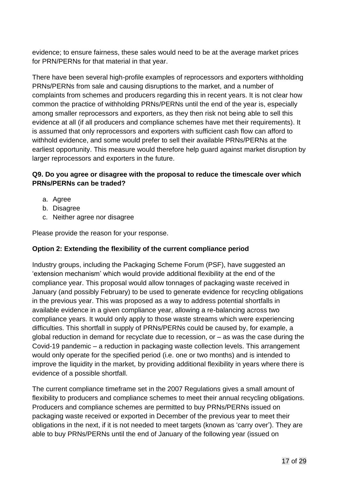evidence; to ensure fairness, these sales would need to be at the average market prices for PRN/PERNs for that material in that year.

There have been several high-profile examples of reprocessors and exporters withholding PRNs/PERNs from sale and causing disruptions to the market, and a number of complaints from schemes and producers regarding this in recent years. It is not clear how common the practice of withholding PRNs/PERNs until the end of the year is, especially among smaller reprocessors and exporters, as they then risk not being able to sell this evidence at all (if all producers and compliance schemes have met their requirements). It is assumed that only reprocessors and exporters with sufficient cash flow can afford to withhold evidence, and some would prefer to sell their available PRNs/PERNs at the earliest opportunity. This measure would therefore help guard against market disruption by larger reprocessors and exporters in the future.

#### **Q9. Do you agree or disagree with the proposal to reduce the timescale over which PRNs/PERNs can be traded?**

- a. Agree
- b. Disagree
- c. Neither agree nor disagree

Please provide the reason for your response.

#### **Option 2: Extending the flexibility of the current compliance period**

Industry groups, including the Packaging Scheme Forum (PSF), have suggested an 'extension mechanism' which would provide additional flexibility at the end of the compliance year. This proposal would allow tonnages of packaging waste received in January (and possibly February) to be used to generate evidence for recycling obligations in the previous year. This was proposed as a way to address potential shortfalls in available evidence in a given compliance year, allowing a re-balancing across two compliance years. It would only apply to those waste streams which were experiencing difficulties. This shortfall in supply of PRNs/PERNs could be caused by, for example, a global reduction in demand for recyclate due to recession, or – as was the case during the Covid-19 pandemic – a reduction in packaging waste collection levels. This arrangement would only operate for the specified period (i.e. one or two months) and is intended to improve the liquidity in the market, by providing additional flexibility in years where there is evidence of a possible shortfall.

The current compliance timeframe set in the 2007 Regulations gives a small amount of flexibility to producers and compliance schemes to meet their annual recycling obligations. Producers and compliance schemes are permitted to buy PRNs/PERNs issued on packaging waste received or exported in December of the previous year to meet their obligations in the next, if it is not needed to meet targets (known as 'carry over'). They are able to buy PRNs/PERNs until the end of January of the following year (issued on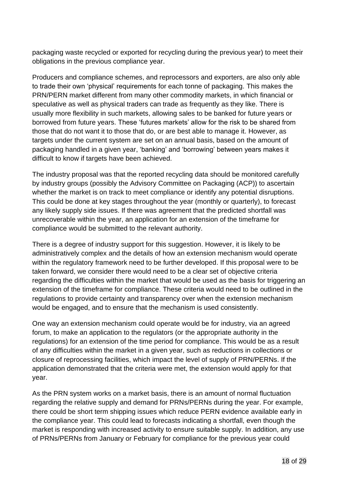packaging waste recycled or exported for recycling during the previous year) to meet their obligations in the previous compliance year.

Producers and compliance schemes, and reprocessors and exporters, are also only able to trade their own 'physical' requirements for each tonne of packaging. This makes the PRN/PERN market different from many other commodity markets, in which financial or speculative as well as physical traders can trade as frequently as they like. There is usually more flexibility in such markets, allowing sales to be banked for future years or borrowed from future years. These 'futures markets' allow for the risk to be shared from those that do not want it to those that do, or are best able to manage it. However, as targets under the current system are set on an annual basis, based on the amount of packaging handled in a given year, 'banking' and 'borrowing' between years makes it difficult to know if targets have been achieved.

The industry proposal was that the reported recycling data should be monitored carefully by industry groups (possibly the Advisory Committee on Packaging (ACP)) to ascertain whether the market is on track to meet compliance or identify any potential disruptions. This could be done at key stages throughout the year (monthly or quarterly), to forecast any likely supply side issues. If there was agreement that the predicted shortfall was unrecoverable within the year, an application for an extension of the timeframe for compliance would be submitted to the relevant authority.

There is a degree of industry support for this suggestion. However, it is likely to be administratively complex and the details of how an extension mechanism would operate within the regulatory framework need to be further developed. If this proposal were to be taken forward, we consider there would need to be a clear set of objective criteria regarding the difficulties within the market that would be used as the basis for triggering an extension of the timeframe for compliance. These criteria would need to be outlined in the regulations to provide certainty and transparency over when the extension mechanism would be engaged, and to ensure that the mechanism is used consistently.

One way an extension mechanism could operate would be for industry, via an agreed forum, to make an application to the regulators (or the appropriate authority in the regulations) for an extension of the time period for compliance. This would be as a result of any difficulties within the market in a given year, such as reductions in collections or closure of reprocessing facilities, which impact the level of supply of PRN/PERNs. If the application demonstrated that the criteria were met, the extension would apply for that year.

As the PRN system works on a market basis, there is an amount of normal fluctuation regarding the relative supply and demand for PRNs/PERNs during the year. For example, there could be short term shipping issues which reduce PERN evidence available early in the compliance year. This could lead to forecasts indicating a shortfall, even though the market is responding with increased activity to ensure suitable supply. In addition, any use of PRNs/PERNs from January or February for compliance for the previous year could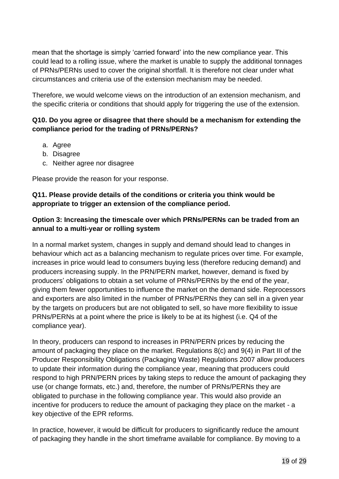mean that the shortage is simply 'carried forward' into the new compliance year. This could lead to a rolling issue, where the market is unable to supply the additional tonnages of PRNs/PERNs used to cover the original shortfall. It is therefore not clear under what circumstances and criteria use of the extension mechanism may be needed.

Therefore, we would welcome views on the introduction of an extension mechanism, and the specific criteria or conditions that should apply for triggering the use of the extension.

#### **Q10. Do you agree or disagree that there should be a mechanism for extending the compliance period for the trading of PRNs/PERNs?**

- a. Agree
- b. Disagree
- c. Neither agree nor disagree

Please provide the reason for your response.

#### **Q11. Please provide details of the conditions or criteria you think would be appropriate to trigger an extension of the compliance period.**

#### **Option 3: Increasing the timescale over which PRNs/PERNs can be traded from an annual to a multi-year or rolling system**

In a normal market system, changes in supply and demand should lead to changes in behaviour which act as a balancing mechanism to regulate prices over time. For example, increases in price would lead to consumers buying less (therefore reducing demand) and producers increasing supply. In the PRN/PERN market, however, demand is fixed by producers' obligations to obtain a set volume of PRNs/PERNs by the end of the year, giving them fewer opportunities to influence the market on the demand side. Reprocessors and exporters are also limited in the number of PRNs/PERNs they can sell in a given year by the targets on producers but are not obligated to sell, so have more flexibility to issue PRNs/PERNs at a point where the price is likely to be at its highest (i.e. Q4 of the compliance year).

In theory, producers can respond to increases in PRN/PERN prices by reducing the amount of packaging they place on the market. Regulations 8(c) and 9(4) in Part III of the Producer Responsibility Obligations (Packaging Waste) Regulations 2007 allow producers to update their information during the compliance year, meaning that producers could respond to high PRN/PERN prices by taking steps to reduce the amount of packaging they use (or change formats, etc.) and, therefore, the number of PRNs/PERNs they are obligated to purchase in the following compliance year. This would also provide an incentive for producers to reduce the amount of packaging they place on the market - a key objective of the EPR reforms.

In practice, however, it would be difficult for producers to significantly reduce the amount of packaging they handle in the short timeframe available for compliance. By moving to a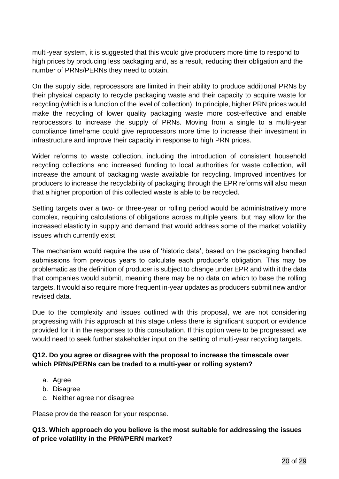multi-year system, it is suggested that this would give producers more time to respond to high prices by producing less packaging and, as a result, reducing their obligation and the number of PRNs/PERNs they need to obtain.

On the supply side, reprocessors are limited in their ability to produce additional PRNs by their physical capacity to recycle packaging waste and their capacity to acquire waste for recycling (which is a function of the level of collection). In principle, higher PRN prices would make the recycling of lower quality packaging waste more cost-effective and enable reprocessors to increase the supply of PRNs. Moving from a single to a multi-year compliance timeframe could give reprocessors more time to increase their investment in infrastructure and improve their capacity in response to high PRN prices.

Wider reforms to waste collection, including the introduction of consistent household recycling collections and increased funding to local authorities for waste collection, will increase the amount of packaging waste available for recycling. Improved incentives for producers to increase the recyclability of packaging through the EPR reforms will also mean that a higher proportion of this collected waste is able to be recycled.

Setting targets over a two- or three-year or rolling period would be administratively more complex, requiring calculations of obligations across multiple years, but may allow for the increased elasticity in supply and demand that would address some of the market volatility issues which currently exist.

The mechanism would require the use of 'historic data', based on the packaging handled submissions from previous years to calculate each producer's obligation. This may be problematic as the definition of producer is subject to change under EPR and with it the data that companies would submit, meaning there may be no data on which to base the rolling targets. It would also require more frequent in-year updates as producers submit new and/or revised data.

Due to the complexity and issues outlined with this proposal, we are not considering progressing with this approach at this stage unless there is significant support or evidence provided for it in the responses to this consultation. If this option were to be progressed, we would need to seek further stakeholder input on the setting of multi-year recycling targets.

#### **Q12. Do you agree or disagree with the proposal to increase the timescale over which PRNs/PERNs can be traded to a multi-year or rolling system?**

- a. Agree
- b. Disagree
- c. Neither agree nor disagree

Please provide the reason for your response.

#### **Q13. Which approach do you believe is the most suitable for addressing the issues of price volatility in the PRN/PERN market?**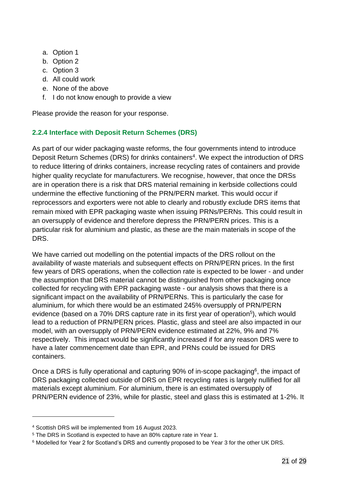- a. Option 1
- b. Option 2
- c. Option 3
- d. All could work
- e. None of the above
- f. I do not know enough to provide a view

Please provide the reason for your response.

#### <span id="page-20-0"></span>**2.2.4 Interface with Deposit Return Schemes (DRS)**

As part of our wider packaging waste reforms, the four governments intend to introduce Deposit Return Schemes (DRS) for drinks containers<sup>4</sup>. We expect the introduction of DRS to reduce littering of drinks containers, increase recycling rates of containers and provide higher quality recyclate for manufacturers. We recognise, however, that once the DRSs are in operation there is a risk that DRS material remaining in kerbside collections could undermine the effective functioning of the PRN/PERN market. This would occur if reprocessors and exporters were not able to clearly and robustly exclude DRS items that remain mixed with EPR packaging waste when issuing PRNs/PERNs. This could result in an oversupply of evidence and therefore depress the PRN/PERN prices. This is a particular risk for aluminium and plastic, as these are the main materials in scope of the DRS.

We have carried out modelling on the potential impacts of the DRS rollout on the availability of waste materials and subsequent effects on PRN/PERN prices. In the first few years of DRS operations, when the collection rate is expected to be lower - and under the assumption that DRS material cannot be distinguished from other packaging once collected for recycling with EPR packaging waste - our analysis shows that there is a significant impact on the availability of PRN/PERNs. This is particularly the case for aluminium, for which there would be an estimated 245% oversupply of PRN/PERN evidence (based on a 70% DRS capture rate in its first year of operation<sup>5</sup>), which would lead to a reduction of PRN/PERN prices. Plastic, glass and steel are also impacted in our model, with an oversupply of PRN/PERN evidence estimated at 22%, 9% and 7% respectively. This impact would be significantly increased if for any reason DRS were to have a later commencement date than EPR, and PRNs could be issued for DRS containers.

Once a DRS is fully operational and capturing 90% of in-scope packaging<sup>6</sup>, the impact of DRS packaging collected outside of DRS on EPR recycling rates is largely nullified for all materials except aluminium. For aluminium, there is an estimated oversupply of PRN/PERN evidence of 23%, while for plastic, steel and glass this is estimated at 1-2%. It

<sup>4</sup> Scottish DRS will be implemented from 16 August 2023.

<sup>5</sup> The DRS in Scotland is expected to have an 80% capture rate in Year 1.

<sup>6</sup> Modelled for Year 2 for Scotland's DRS and currently proposed to be Year 3 for the other UK DRS.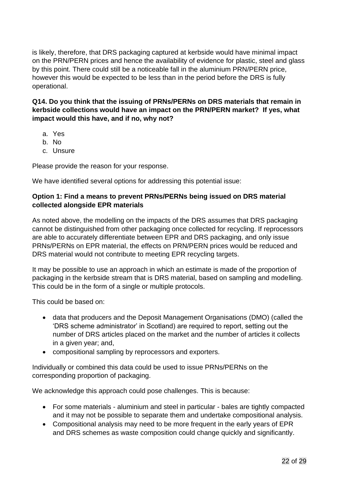is likely, therefore, that DRS packaging captured at kerbside would have minimal impact on the PRN/PERN prices and hence the availability of evidence for plastic, steel and glass by this point. There could still be a noticeable fall in the aluminium PRN/PERN price, however this would be expected to be less than in the period before the DRS is fully operational.

**Q14. Do you think that the issuing of PRNs/PERNs on DRS materials that remain in kerbside collections would have an impact on the PRN/PERN market? If yes, what impact would this have, and if no, why not?**

- a. Yes
- b. No
- c. Unsure

Please provide the reason for your response.

We have identified several options for addressing this potential issue:

#### **Option 1: Find a means to prevent PRNs/PERNs being issued on DRS material collected alongside EPR materials**

As noted above, the modelling on the impacts of the DRS assumes that DRS packaging cannot be distinguished from other packaging once collected for recycling. If reprocessors are able to accurately differentiate between EPR and DRS packaging, and only issue PRNs/PERNs on EPR material, the effects on PRN/PERN prices would be reduced and DRS material would not contribute to meeting EPR recycling targets.

It may be possible to use an approach in which an estimate is made of the proportion of packaging in the kerbside stream that is DRS material, based on sampling and modelling. This could be in the form of a single or multiple protocols.

This could be based on:

- data that producers and the Deposit Management Organisations (DMO) (called the 'DRS scheme administrator' in Scotland) are required to report, setting out the number of DRS articles placed on the market and the number of articles it collects in a given year; and,
- compositional sampling by reprocessors and exporters.

Individually or combined this data could be used to issue PRNs/PERNs on the corresponding proportion of packaging.

We acknowledge this approach could pose challenges. This is because:

- For some materials aluminium and steel in particular bales are tightly compacted and it may not be possible to separate them and undertake compositional analysis.
- Compositional analysis may need to be more frequent in the early years of EPR and DRS schemes as waste composition could change quickly and significantly.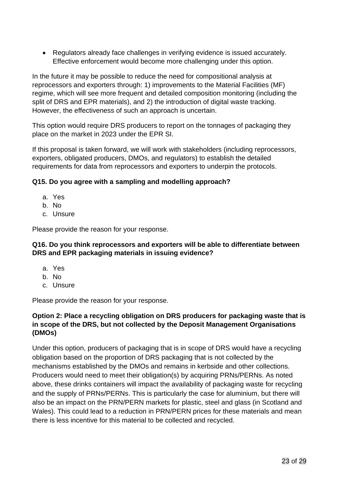• Regulators already face challenges in verifying evidence is issued accurately. Effective enforcement would become more challenging under this option.

In the future it may be possible to reduce the need for compositional analysis at reprocessors and exporters through: 1) improvements to the Material Facilities (MF) regime, which will see more frequent and detailed composition monitoring (including the split of DRS and EPR materials), and 2) the introduction of digital waste tracking. However, the effectiveness of such an approach is uncertain.

This option would require DRS producers to report on the tonnages of packaging they place on the market in 2023 under the EPR SI.

If this proposal is taken forward, we will work with stakeholders (including reprocessors, exporters, obligated producers, DMOs, and regulators) to establish the detailed requirements for data from reprocessors and exporters to underpin the protocols.

#### **Q15. Do you agree with a sampling and modelling approach?**

- a. Yes
- b. No
- c. Unsure

Please provide the reason for your response.

#### **Q16. Do you think reprocessors and exporters will be able to differentiate between DRS and EPR packaging materials in issuing evidence?**

- a. Yes
- b. No
- c. Unsure

Please provide the reason for your response.

#### **Option 2: Place a recycling obligation on DRS producers for packaging waste that is in scope of the DRS, but not collected by the Deposit Management Organisations (DMOs)**

Under this option, producers of packaging that is in scope of DRS would have a recycling obligation based on the proportion of DRS packaging that is not collected by the mechanisms established by the DMOs and remains in kerbside and other collections. Producers would need to meet their obligation(s) by acquiring PRNs/PERNs. As noted above, these drinks containers will impact the availability of packaging waste for recycling and the supply of PRNs/PERNs. This is particularly the case for aluminium, but there will also be an impact on the PRN/PERN markets for plastic, steel and glass (in Scotland and Wales). This could lead to a reduction in PRN/PERN prices for these materials and mean there is less incentive for this material to be collected and recycled.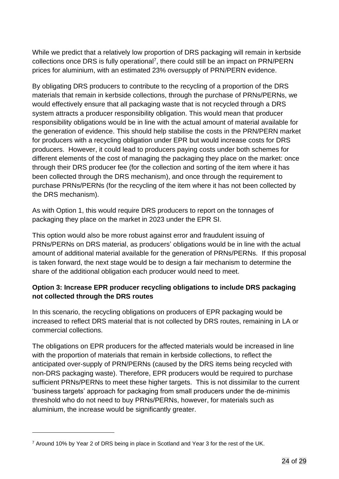While we predict that a relatively low proportion of DRS packaging will remain in kerbside collections once DRS is fully operational<sup>7</sup>, there could still be an impact on PRN/PERN prices for aluminium, with an estimated 23% oversupply of PRN/PERN evidence.

By obligating DRS producers to contribute to the recycling of a proportion of the DRS materials that remain in kerbside collections, through the purchase of PRNs/PERNs, we would effectively ensure that all packaging waste that is not recycled through a DRS system attracts a producer responsibility obligation. This would mean that producer responsibility obligations would be in line with the actual amount of material available for the generation of evidence. This should help stabilise the costs in the PRN/PERN market for producers with a recycling obligation under EPR but would increase costs for DRS producers. However, it could lead to producers paying costs under both schemes for different elements of the cost of managing the packaging they place on the market: once through their DRS producer fee (for the collection and sorting of the item where it has been collected through the DRS mechanism), and once through the requirement to purchase PRNs/PERNs (for the recycling of the item where it has not been collected by the DRS mechanism).

As with Option 1, this would require DRS producers to report on the tonnages of packaging they place on the market in 2023 under the EPR SI.

This option would also be more robust against error and fraudulent issuing of PRNs/PERNs on DRS material, as producers' obligations would be in line with the actual amount of additional material available for the generation of PRNs/PERNs. If this proposal is taken forward, the next stage would be to design a fair mechanism to determine the share of the additional obligation each producer would need to meet.

#### **Option 3: Increase EPR producer recycling obligations to include DRS packaging not collected through the DRS routes**

In this scenario, the recycling obligations on producers of EPR packaging would be increased to reflect DRS material that is not collected by DRS routes, remaining in LA or commercial collections.

The obligations on EPR producers for the affected materials would be increased in line with the proportion of materials that remain in kerbside collections, to reflect the anticipated over-supply of PRN/PERNs (caused by the DRS items being recycled with non-DRS packaging waste). Therefore, EPR producers would be required to purchase sufficient PRNs/PERNs to meet these higher targets. This is not dissimilar to the current 'business targets' approach for packaging from small producers under the de-minimis threshold who do not need to buy PRNs/PERNs, however, for materials such as aluminium, the increase would be significantly greater.

<sup>7</sup> Around 10% by Year 2 of DRS being in place in Scotland and Year 3 for the rest of the UK.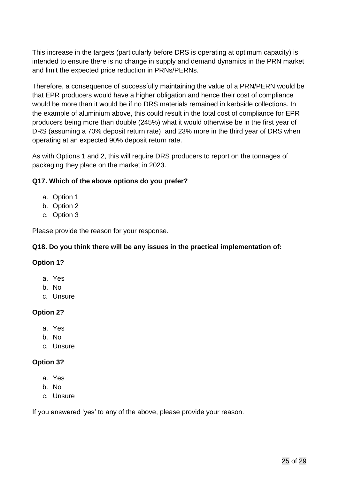This increase in the targets (particularly before DRS is operating at optimum capacity) is intended to ensure there is no change in supply and demand dynamics in the PRN market and limit the expected price reduction in PRNs/PERNs.

Therefore, a consequence of successfully maintaining the value of a PRN/PERN would be that EPR producers would have a higher obligation and hence their cost of compliance would be more than it would be if no DRS materials remained in kerbside collections. In the example of aluminium above, this could result in the total cost of compliance for EPR producers being more than double (245%) what it would otherwise be in the first year of DRS (assuming a 70% deposit return rate), and 23% more in the third year of DRS when operating at an expected 90% deposit return rate.

As with Options 1 and 2, this will require DRS producers to report on the tonnages of packaging they place on the market in 2023.

#### **Q17. Which of the above options do you prefer?**

- a. Option 1
- b. Option 2
- c. Option 3

Please provide the reason for your response.

#### **Q18. Do you think there will be any issues in the practical implementation of:**

#### **Option 1?**

- a. Yes
- b. No
- c. Unsure

#### **Option 2?**

- a. Yes
- b. No
- c. Unsure

#### **Option 3?**

- a. Yes
- b. No
- c. Unsure

If you answered 'yes' to any of the above, please provide your reason.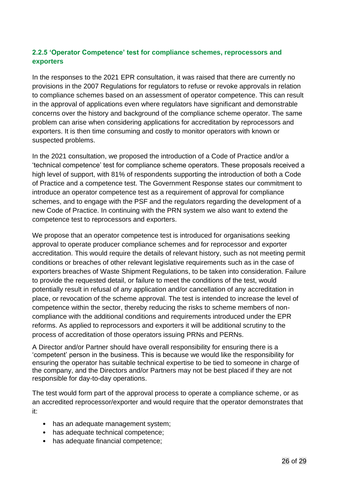#### <span id="page-25-0"></span>**2.2.5 'Operator Competence' test for compliance schemes, reprocessors and exporters**

In the responses to the 2021 EPR consultation, it was raised that there are currently no provisions in the 2007 Regulations for regulators to refuse or revoke approvals in relation to compliance schemes based on an assessment of operator competence. This can result in the approval of applications even where regulators have significant and demonstrable concerns over the history and background of the compliance scheme operator. The same problem can arise when considering applications for accreditation by reprocessors and exporters. It is then time consuming and costly to monitor operators with known or suspected problems.

In the 2021 consultation, we proposed the introduction of a Code of Practice and/or a 'technical competence' test for compliance scheme operators. These proposals received a high level of support, with 81% of respondents supporting the introduction of both a Code of Practice and a competence test. The Government Response states our commitment to introduce an operator competence test as a requirement of approval for compliance schemes, and to engage with the PSF and the regulators regarding the development of a new Code of Practice. In continuing with the PRN system we also want to extend the competence test to reprocessors and exporters.

We propose that an operator competence test is introduced for organisations seeking approval to operate producer compliance schemes and for reprocessor and exporter accreditation. This would require the details of relevant history, such as not meeting permit conditions or breaches of other relevant legislative requirements such as in the case of exporters breaches of Waste Shipment Regulations, to be taken into consideration. Failure to provide the requested detail, or failure to meet the conditions of the test, would potentially result in refusal of any application and/or cancellation of any accreditation in place, or revocation of the scheme approval. The test is intended to increase the level of competence within the sector, thereby reducing the risks to scheme members of noncompliance with the additional conditions and requirements introduced under the EPR reforms. As applied to reprocessors and exporters it will be additional scrutiny to the process of accreditation of those operators issuing PRNs and PERNs.

A Director and/or Partner should have overall responsibility for ensuring there is a 'competent' person in the business. This is because we would like the responsibility for ensuring the operator has suitable technical expertise to be tied to someone in charge of the company, and the Directors and/or Partners may not be best placed if they are not responsible for day-to-day operations.

The test would form part of the approval process to operate a compliance scheme, or as an accredited reprocessor/exporter and would require that the operator demonstrates that it:

- has an adequate management system;
- has adequate technical competence;
- has adequate financial competence;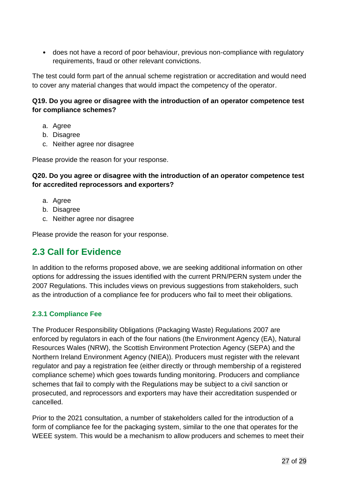• does not have a record of poor behaviour, previous non-compliance with regulatory requirements, fraud or other relevant convictions.

The test could form part of the annual scheme registration or accreditation and would need to cover any material changes that would impact the competency of the operator.

#### **Q19. Do you agree or disagree with the introduction of an operator competence test for compliance schemes?**

- a. Agree
- b. Disagree
- c. Neither agree nor disagree

Please provide the reason for your response.

#### **Q20. Do you agree or disagree with the introduction of an operator competence test for accredited reprocessors and exporters?**

- a. Agree
- b. Disagree
- c. Neither agree nor disagree

Please provide the reason for your response.

# <span id="page-26-0"></span>**2.3 Call for Evidence**

In addition to the reforms proposed above, we are seeking additional information on other options for addressing the issues identified with the current PRN/PERN system under the 2007 Regulations. This includes views on previous suggestions from stakeholders, such as the introduction of a compliance fee for producers who fail to meet their obligations.

#### <span id="page-26-1"></span>**2.3.1 Compliance Fee**

The Producer Responsibility Obligations (Packaging Waste) Regulations 2007 are enforced by regulators in each of the four nations (the Environment Agency (EA), Natural Resources Wales (NRW), the Scottish Environment Protection Agency (SEPA) and the Northern Ireland Environment Agency (NIEA)). Producers must register with the relevant regulator and pay a registration fee (either directly or through membership of a registered compliance scheme) which goes towards funding monitoring. Producers and compliance schemes that fail to comply with the Regulations may be subject to a civil sanction or prosecuted, and reprocessors and exporters may have their accreditation suspended or cancelled.

Prior to the 2021 consultation, a number of stakeholders called for the introduction of a form of compliance fee for the packaging system, similar to the one that operates for the WEEE system. This would be a mechanism to allow producers and schemes to meet their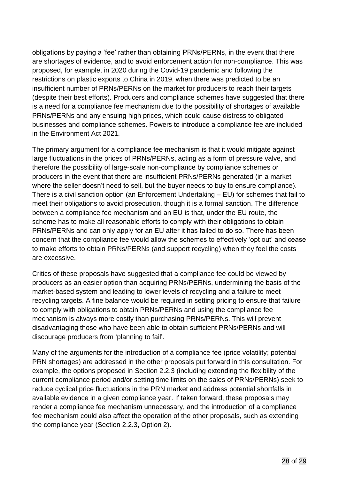obligations by paying a 'fee' rather than obtaining PRNs/PERNs, in the event that there are shortages of evidence, and to avoid enforcement action for non-compliance. This was proposed, for example, in 2020 during the Covid-19 pandemic and following the restrictions on plastic exports to China in 2019, when there was predicted to be an insufficient number of PRNs/PERNs on the market for producers to reach their targets (despite their best efforts). Producers and compliance schemes have suggested that there is a need for a compliance fee mechanism due to the possibility of shortages of available PRNs/PERNs and any ensuing high prices, which could cause distress to obligated businesses and compliance schemes. Powers to introduce a compliance fee are included in the Environment Act 2021.

The primary argument for a compliance fee mechanism is that it would mitigate against large fluctuations in the prices of PRNs/PERNs, acting as a form of pressure valve, and therefore the possibility of large-scale non-compliance by compliance schemes or producers in the event that there are insufficient PRNs/PERNs generated (in a market where the seller doesn't need to sell, but the buyer needs to buy to ensure compliance). There is a civil sanction option (an Enforcement Undertaking – EU) for schemes that fail to meet their obligations to avoid prosecution, though it is a formal sanction. The difference between a compliance fee mechanism and an EU is that, under the EU route, the scheme has to make all reasonable efforts to comply with their obligations to obtain PRNs/PERNs and can only apply for an EU after it has failed to do so. There has been concern that the compliance fee would allow the schemes to effectively 'opt out' and cease to make efforts to obtain PRNs/PERNs (and support recycling) when they feel the costs are excessive.

Critics of these proposals have suggested that a compliance fee could be viewed by producers as an easier option than acquiring PRNs/PERNs, undermining the basis of the market-based system and leading to lower levels of recycling and a failure to meet recycling targets. A fine balance would be required in setting pricing to ensure that failure to comply with obligations to obtain PRNs/PERNs and using the compliance fee mechanism is always more costly than purchasing PRNs/PERNs. This will prevent disadvantaging those who have been able to obtain sufficient PRNs/PERNs and will discourage producers from 'planning to fail'.

Many of the arguments for the introduction of a compliance fee (price volatility; potential PRN shortages) are addressed in the other proposals put forward in this consultation. For example, the options proposed in Section 2.2.3 (including extending the flexibility of the current compliance period and/or setting time limits on the sales of PRNs/PERNs) seek to reduce cyclical price fluctuations in the PRN market and address potential shortfalls in available evidence in a given compliance year. If taken forward, these proposals may render a compliance fee mechanism unnecessary, and the introduction of a compliance fee mechanism could also affect the operation of the other proposals, such as extending the compliance year (Section 2.2.3, Option 2).